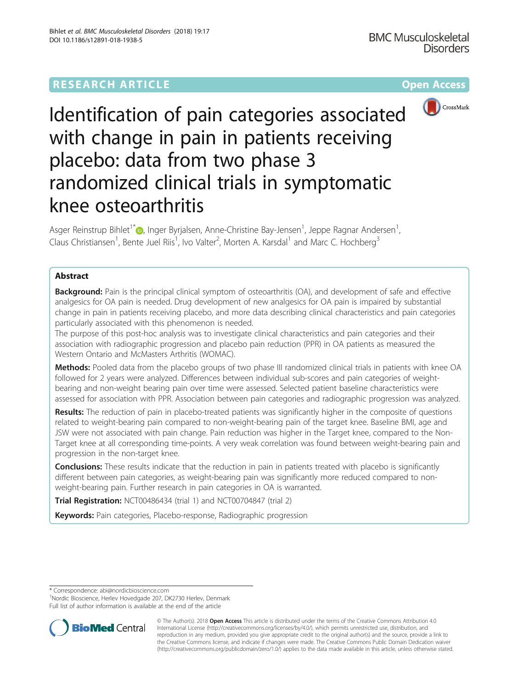# **RESEARCH ARTICLE Example 2014 12:30 The Community Community Community Community Community Community Community**



# Identification of pain categories associated with change in pain in patients receiving placebo: data from two phase 3 randomized clinical trials in symptomatic knee osteoarthritis

Asger Reinstrup Bihlet<sup>1\*</sup>iD[,](http://orcid.org/0000-0002-6944-1731) Inger Byrjalsen, Anne-Christine Bay-Jensen<sup>1</sup>, Jeppe Ragnar Andersen<sup>1</sup> , Claus Christiansen<sup>1</sup>, Bente Juel Riis<sup>1</sup>, Ivo Valter<sup>2</sup>, Morten A. Karsdal<sup>1</sup> and Marc C. Hochberg<sup>3</sup>

# Abstract

**Background:** Pain is the principal clinical symptom of osteoarthritis (OA), and development of safe and effective analgesics for OA pain is needed. Drug development of new analgesics for OA pain is impaired by substantial change in pain in patients receiving placebo, and more data describing clinical characteristics and pain categories particularly associated with this phenomenon is needed.

The purpose of this post-hoc analysis was to investigate clinical characteristics and pain categories and their association with radiographic progression and placebo pain reduction (PPR) in OA patients as measured the Western Ontario and McMasters Arthritis (WOMAC).

Methods: Pooled data from the placebo groups of two phase III randomized clinical trials in patients with knee OA followed for 2 years were analyzed. Differences between individual sub-scores and pain categories of weightbearing and non-weight bearing pain over time were assessed. Selected patient baseline characteristics were assessed for association with PPR. Association between pain categories and radiographic progression was analyzed.

Results: The reduction of pain in placebo-treated patients was significantly higher in the composite of questions related to weight-bearing pain compared to non-weight-bearing pain of the target knee. Baseline BMI, age and JSW were not associated with pain change. Pain reduction was higher in the Target knee, compared to the Non-Target knee at all corresponding time-points. A very weak correlation was found between weight-bearing pain and progression in the non-target knee.

**Conclusions:** These results indicate that the reduction in pain in patients treated with placebo is significantly different between pain categories, as weight-bearing pain was significantly more reduced compared to nonweight-bearing pain. Further research in pain categories in OA is warranted.

Trial Registration: [NCT00486434](https://clinicaltrials.gov/ct2/show/NCT00486434) (trial 1) and [NCT00704847](https://clinicaltrials.gov/ct2/show/NCT00704847) (trial 2)

**Keywords:** Pain categories, Placebo-response, Radiographic progression

\* Correspondence: [abi@nordicbioscience.com](mailto:abi@nordicbioscience.com) <sup>1</sup>

Nordic Bioscience, Herlev Hovedgade 207, DK2730 Herlev, Denmark Full list of author information is available at the end of the article



<sup>©</sup> The Author(s). 2018 Open Access This article is distributed under the terms of the Creative Commons Attribution 4.0 International License [\(http://creativecommons.org/licenses/by/4.0/](http://creativecommons.org/licenses/by/4.0/)), which permits unrestricted use, distribution, and reproduction in any medium, provided you give appropriate credit to the original author(s) and the source, provide a link to the Creative Commons license, and indicate if changes were made. The Creative Commons Public Domain Dedication waiver [\(http://creativecommons.org/publicdomain/zero/1.0/](http://creativecommons.org/publicdomain/zero/1.0/)) applies to the data made available in this article, unless otherwise stated.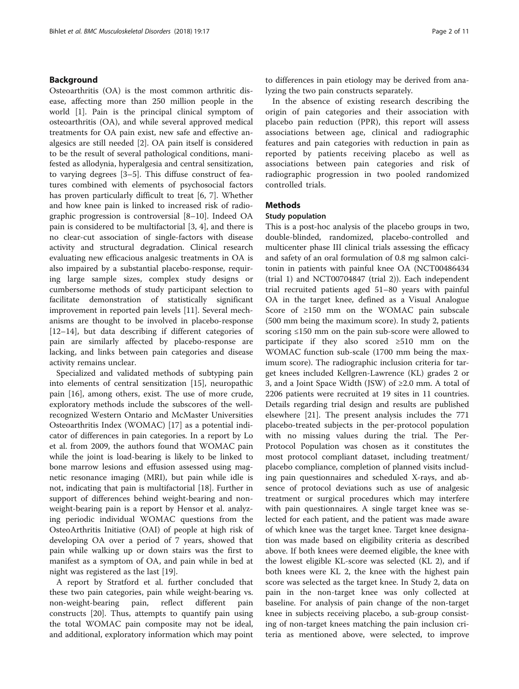### Background

Osteoarthritis (OA) is the most common arthritic disease, affecting more than 250 million people in the world [\[1](#page-9-0)]. Pain is the principal clinical symptom of osteoarthritis (OA), and while several approved medical treatments for OA pain exist, new safe and effective analgesics are still needed [[2\]](#page-9-0). OA pain itself is considered to be the result of several pathological conditions, manifested as allodynia, hyperalgesia and central sensitization, to varying degrees [\[3](#page-9-0)–[5\]](#page-9-0). This diffuse construct of features combined with elements of psychosocial factors has proven particularly difficult to treat [\[6](#page-10-0), [7](#page-10-0)]. Whether and how knee pain is linked to increased risk of radiographic progression is controversial [[8](#page-10-0)–[10](#page-10-0)]. Indeed OA pain is considered to be multifactorial [[3, 4\]](#page-9-0), and there is no clear-cut association of single-factors with disease activity and structural degradation. Clinical research evaluating new efficacious analgesic treatments in OA is also impaired by a substantial placebo-response, requiring large sample sizes, complex study designs or cumbersome methods of study participant selection to facilitate demonstration of statistically significant improvement in reported pain levels [[11\]](#page-10-0). Several mechanisms are thought to be involved in placebo-response [[12](#page-10-0)–[14](#page-10-0)], but data describing if different categories of pain are similarly affected by placebo-response are lacking, and links between pain categories and disease activity remains unclear.

Specialized and validated methods of subtyping pain into elements of central sensitization [[15\]](#page-10-0), neuropathic pain [[16](#page-10-0)], among others, exist. The use of more crude, exploratory methods include the subscores of the wellrecognized Western Ontario and McMaster Universities Osteoarthritis Index (WOMAC) [\[17](#page-10-0)] as a potential indicator of differences in pain categories. In a report by Lo et al. from 2009, the authors found that WOMAC pain while the joint is load-bearing is likely to be linked to bone marrow lesions and effusion assessed using magnetic resonance imaging (MRI), but pain while idle is not, indicating that pain is multifactorial [\[18](#page-10-0)]. Further in support of differences behind weight-bearing and nonweight-bearing pain is a report by Hensor et al. analyzing periodic individual WOMAC questions from the OsteoArthritis Initiative (OAI) of people at high risk of developing OA over a period of 7 years, showed that pain while walking up or down stairs was the first to manifest as a symptom of OA, and pain while in bed at night was registered as the last [[19\]](#page-10-0).

A report by Stratford et al. further concluded that these two pain categories, pain while weight-bearing vs. non-weight-bearing pain, reflect different pain constructs [[20\]](#page-10-0). Thus, attempts to quantify pain using the total WOMAC pain composite may not be ideal, and additional, exploratory information which may point

to differences in pain etiology may be derived from analyzing the two pain constructs separately.

In the absence of existing research describing the origin of pain categories and their association with placebo pain reduction (PPR), this report will assess associations between age, clinical and radiographic features and pain categories with reduction in pain as reported by patients receiving placebo as well as associations between pain categories and risk of radiographic progression in two pooled randomized controlled trials.

#### Methods

#### Study population

This is a post-hoc analysis of the placebo groups in two, double-blinded, randomized, placebo-controlled and multicenter phase III clinical trials assessing the efficacy and safety of an oral formulation of 0.8 mg salmon calcitonin in patients with painful knee OA (NCT00486434 (trial 1) and NCT00704847 (trial 2)). Each independent trial recruited patients aged 51–80 years with painful OA in the target knee, defined as a Visual Analogue Score of ≥150 mm on the WOMAC pain subscale (500 mm being the maximum score). In study 2, patients scoring ≤150 mm on the pain sub-score were allowed to participate if they also scored ≥510 mm on the WOMAC function sub-scale (1700 mm being the maximum score). The radiographic inclusion criteria for target knees included Kellgren-Lawrence (KL) grades 2 or 3, and a Joint Space Width (JSW) of ≥2.0 mm. A total of 2206 patients were recruited at 19 sites in 11 countries. Details regarding trial design and results are published elsewhere [[21\]](#page-10-0). The present analysis includes the 771 placebo-treated subjects in the per-protocol population with no missing values during the trial. The Per-Protocol Population was chosen as it constitutes the most protocol compliant dataset, including treatment/ placebo compliance, completion of planned visits including pain questionnaires and scheduled X-rays, and absence of protocol deviations such as use of analgesic treatment or surgical procedures which may interfere with pain questionnaires. A single target knee was selected for each patient, and the patient was made aware of which knee was the target knee. Target knee designation was made based on eligibility criteria as described above. If both knees were deemed eligible, the knee with the lowest eligible KL-score was selected (KL 2), and if both knees were KL 2, the knee with the highest pain score was selected as the target knee. In Study 2, data on pain in the non-target knee was only collected at baseline. For analysis of pain change of the non-target knee in subjects receiving placebo, a sub-group consisting of non-target knees matching the pain inclusion criteria as mentioned above, were selected, to improve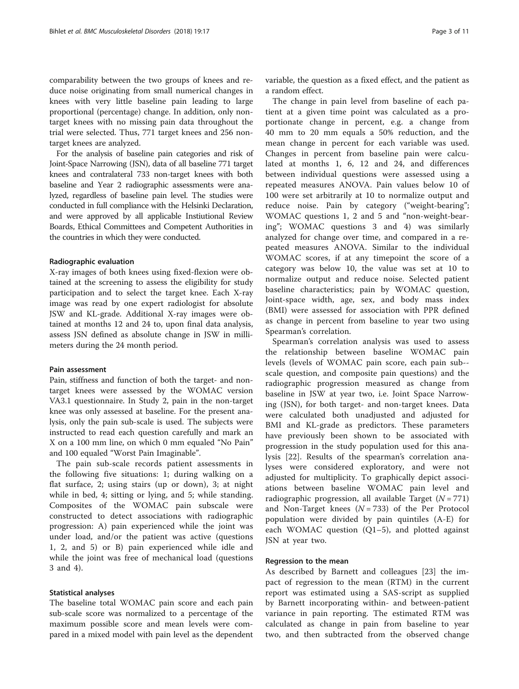comparability between the two groups of knees and reduce noise originating from small numerical changes in knees with very little baseline pain leading to large proportional (percentage) change. In addition, only nontarget knees with no missing pain data throughout the trial were selected. Thus, 771 target knees and 256 nontarget knees are analyzed.

For the analysis of baseline pain categories and risk of Joint-Space Narrowing (JSN), data of all baseline 771 target knees and contralateral 733 non-target knees with both baseline and Year 2 radiographic assessments were analyzed, regardless of baseline pain level. The studies were conducted in full compliance with the Helsinki Declaration, and were approved by all applicable Instiutional Review Boards, Ethical Committees and Competent Authorities in the countries in which they were conducted.

#### Radiographic evaluation

X-ray images of both knees using fixed-flexion were obtained at the screening to assess the eligibility for study participation and to select the target knee. Each X-ray image was read by one expert radiologist for absolute JSW and KL-grade. Additional X-ray images were obtained at months 12 and 24 to, upon final data analysis, assess JSN defined as absolute change in JSW in millimeters during the 24 month period.

#### Pain assessment

Pain, stiffness and function of both the target- and nontarget knees were assessed by the WOMAC version VA3.1 questionnaire. In Study 2, pain in the non-target knee was only assessed at baseline. For the present analysis, only the pain sub-scale is used. The subjects were instructed to read each question carefully and mark an X on a 100 mm line, on which 0 mm equaled "No Pain" and 100 equaled "Worst Pain Imaginable".

The pain sub-scale records patient assessments in the following five situations: 1; during walking on a flat surface, 2; using stairs (up or down), 3; at night while in bed, 4; sitting or lying, and 5; while standing. Composites of the WOMAC pain subscale were constructed to detect associations with radiographic progression: A) pain experienced while the joint was under load, and/or the patient was active (questions 1, 2, and 5) or B) pain experienced while idle and while the joint was free of mechanical load (questions 3 and 4).

#### Statistical analyses

The baseline total WOMAC pain score and each pain sub-scale score was normalized to a percentage of the maximum possible score and mean levels were compared in a mixed model with pain level as the dependent variable, the question as a fixed effect, and the patient as a random effect.

The change in pain level from baseline of each patient at a given time point was calculated as a proportionate change in percent, e.g. a change from 40 mm to 20 mm equals a 50% reduction, and the mean change in percent for each variable was used. Changes in percent from baseline pain were calculated at months 1, 6, 12 and 24, and differences between individual questions were assessed using a repeated measures ANOVA. Pain values below 10 of 100 were set arbitrarily at 10 to normalize output and reduce noise. Pain by category ("weight-bearing"; WOMAC questions 1, 2 and 5 and "non-weight-bearing"; WOMAC questions 3 and 4) was similarly analyzed for change over time, and compared in a repeated measures ANOVA. Similar to the individual WOMAC scores, if at any timepoint the score of a category was below 10, the value was set at 10 to normalize output and reduce noise. Selected patient baseline characteristics; pain by WOMAC question, Joint-space width, age, sex, and body mass index (BMI) were assessed for association with PPR defined as change in percent from baseline to year two using Spearman's correlation.

Spearman's correlation analysis was used to assess the relationship between baseline WOMAC pain levels (levels of WOMAC pain score, each pain sub- scale question, and composite pain questions) and the radiographic progression measured as change from baseline in JSW at year two, i.e. Joint Space Narrowing (JSN), for both target- and non-target knees. Data were calculated both unadjusted and adjusted for BMI and KL-grade as predictors. These parameters have previously been shown to be associated with progression in the study population used for this analysis [[22\]](#page-10-0). Results of the spearman's correlation analyses were considered exploratory, and were not adjusted for multiplicity. To graphically depict associations between baseline WOMAC pain level and radiographic progression, all available Target  $(N = 771)$ and Non-Target knees  $(N = 733)$  of the Per Protocol population were divided by pain quintiles (A-E) for each WOMAC question  $(Q1-5)$ , and plotted against JSN at year two.

#### Regression to the mean

As described by Barnett and colleagues [\[23](#page-10-0)] the impact of regression to the mean (RTM) in the current report was estimated using a SAS-script as supplied by Barnett incorporating within- and between-patient variance in pain reporting. The estimated RTM was calculated as change in pain from baseline to year two, and then subtracted from the observed change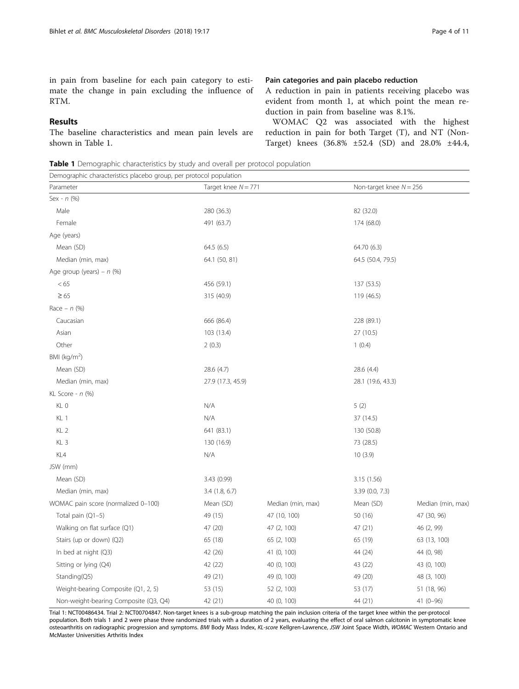in pain from baseline for each pain category to estimate the change in pain excluding the influence of RTM.

#### Results

The baseline characteristics and mean pain levels are shown in Table 1.

#### Pain categories and pain placebo reduction

A reduction in pain in patients receiving placebo was evident from month 1, at which point the mean reduction in pain from baseline was 8.1%.

WOMAC Q2 was associated with the highest reduction in pain for both Target (T), and NT (Non-Target) knees (36.8% ±52.4 (SD) and 28.0% ±44.4,

Table 1 Demographic characteristics by study and overall per protocol population

| Parameter                             | Target knee $N = 771$  |                   | Non-target knee $N = 256$ |                   |
|---------------------------------------|------------------------|-------------------|---------------------------|-------------------|
| Sex - $n$ (%)                         |                        |                   |                           |                   |
| Male                                  | 280 (36.3)             |                   | 82 (32.0)                 |                   |
| Female                                | 491 (63.7)             |                   | 174 (68.0)                |                   |
| Age (years)                           |                        |                   |                           |                   |
| Mean (SD)                             | 64.5(6.5)              |                   | 64.70 (6.3)               |                   |
| Median (min, max)                     | 64.1 (50, 81)          |                   | 64.5 (50.4, 79.5)         |                   |
| Age group (years) – $n$ (%)           |                        |                   |                           |                   |
| < 65                                  | 456 (59.1)             |                   | 137 (53.5)                |                   |
| $\geq 65$                             | 315 (40.9)             |                   | 119 (46.5)                |                   |
| Race $- n$ (%)                        |                        |                   |                           |                   |
| Caucasian                             | 666 (86.4)             |                   | 228 (89.1)                |                   |
| Asian                                 | 103 (13.4)             |                   | 27 (10.5)                 |                   |
| Other                                 | 2(0.3)                 |                   | 1(0.4)                    |                   |
| BMI ( $kg/m2$ )                       |                        |                   |                           |                   |
| Mean (SD)                             | 28.6(4.7)              |                   | 28.6 (4.4)                |                   |
| Median (min, max)                     | 27.9 (17.3, 45.9)      |                   | 28.1 (19.6, 43.3)         |                   |
| KL Score - n (%)                      |                        |                   |                           |                   |
| KL <sub>0</sub>                       | N/A                    |                   | 5(2)                      |                   |
| KL <sub>1</sub>                       | N/A                    |                   | 37 (14.5)                 |                   |
| KL <sub>2</sub>                       | 641 (83.1)             |                   | 130 (50.8)                |                   |
| KL <sub>3</sub>                       | 130 (16.9)             |                   | 73 (28.5)                 |                   |
| KL4                                   | N/A                    |                   | 10(3.9)                   |                   |
| JSW (mm)                              |                        |                   |                           |                   |
| Mean (SD)                             | 3.43(0.99)             |                   | 3.15(1.56)                |                   |
| Median (min, max)                     | 3.4(1.8, 6.7)          |                   | 3.39 (0.0, 7.3)           |                   |
| WOMAC pain score (normalized 0-100)   | Mean (SD)              | Median (min, max) | Mean (SD)                 | Median (min, max) |
| Total pain (Q1-5)                     | 49 (15)                | 47 (10, 100)      | 50 (16)                   | 47 (30, 96)       |
| Walking on flat surface (Q1)          | 47 (20)                | 47 (2, 100)       | 47(21)                    | 46 (2, 99)        |
| Stairs (up or down) (Q2)              | 65 (18)                | 65 (2, 100)       | 65 (19)                   | 63 (13, 100)      |
| In bed at night (Q3)                  | 42 (26)                | 41 (0, 100)       | 44 (24)                   | 44 (0, 98)        |
| Sitting or lying (Q4)                 | 42 (22)                | 40 (0, 100)       | 43 (22)                   | 43 (0, 100)       |
| Standing(Q5)                          | 49 (21)                | 49 (0, 100)       | 49 (20)                   | 48 (3, 100)       |
| Weight-bearing Composite (Q1, 2, 5)   | 53 (15)                | 52 (2, 100)       | 53 (17)                   | 51 (18, 96)       |
| Non-weight-bearing Composite (Q3, Q4) | 42 (21)<br>40 (0, 100) |                   | 44 (21)<br>$41(0-96)$     |                   |

Trial 1: NCT00486434. Trial 2: NCT00704847. Non-target knees is a sub-group matching the pain inclusion criteria of the target knee within the per-protocol population. Both trials 1 and 2 were phase three randomized trials with a duration of 2 years, evaluating the effect of oral salmon calcitonin in symptomatic knee osteoarthritis on radiographic progression and symptoms. BMI Body Mass Index, KL-score Kellgren-Lawrence, JSW Joint Space Width, WOMAC Western Ontario and McMaster Universities Arthritis Index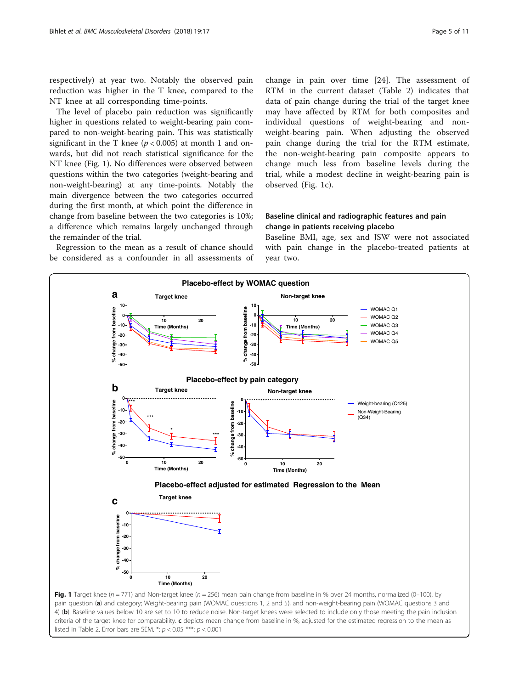respectively) at year two. Notably the observed pain reduction was higher in the T knee, compared to the NT knee at all corresponding time-points.

The level of placebo pain reduction was significantly higher in questions related to weight-bearing pain compared to non-weight-bearing pain. This was statistically significant in the T knee ( $p < 0.005$ ) at month 1 and onwards, but did not reach statistical significance for the NT knee (Fig. 1). No differences were observed between questions within the two categories (weight-bearing and non-weight-bearing) at any time-points. Notably the main divergence between the two categories occurred during the first month, at which point the difference in change from baseline between the two categories is 10%; a difference which remains largely unchanged through the remainder of the trial.

Regression to the mean as a result of chance should be considered as a confounder in all assessments of change in pain over time [[24\]](#page-10-0). The assessment of RTM in the current dataset (Table [2](#page-5-0)) indicates that data of pain change during the trial of the target knee may have affected by RTM for both composites and individual questions of weight-bearing and nonweight-bearing pain. When adjusting the observed pain change during the trial for the RTM estimate, the non-weight-bearing pain composite appears to change much less from baseline levels during the trial, while a modest decline in weight-bearing pain is observed (Fig. 1c).

## Baseline clinical and radiographic features and pain change in patients receiving placebo

Baseline BMI, age, sex and JSW were not associated with pain change in the placebo-treated patients at year two.

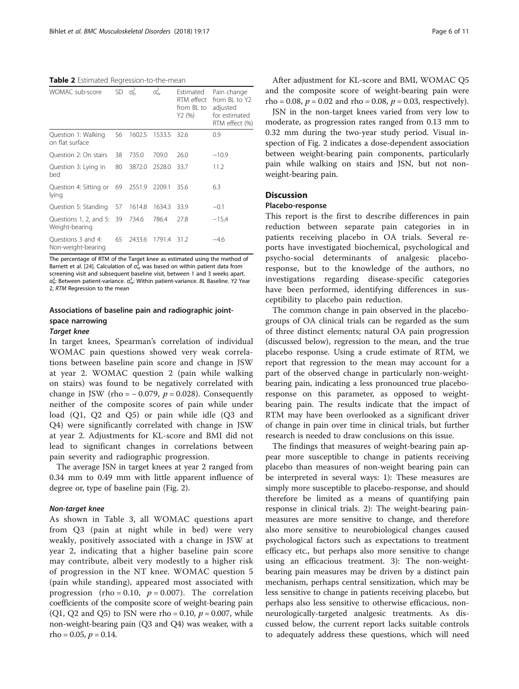<span id="page-5-0"></span>Table 2 Estimated Regression-to-the-mean

| WOMAC sub-score                          | $SD \sigma_h^2$ |           | $\sigma_{\rm w}^2$ | Estimated<br>RTM effect<br>from BL to<br>Y2 (%) | Pain change<br>from BL to Y2<br>adjusted<br>for estimated<br>RTM effect (%) |
|------------------------------------------|-----------------|-----------|--------------------|-------------------------------------------------|-----------------------------------------------------------------------------|
| Question 1: Walking<br>on flat surface   | 56              | 1602.5    | 1533.5             | 32.6                                            | 0.9                                                                         |
| Ouestion 2: On stairs                    | 38              | 735.0     | 709.0              | 26.0                                            | $-10.9$                                                                     |
| Question 3: Lying in<br>bed              | 80              | 3872.0    | 2528.0             | 33.7                                            | 11.2                                                                        |
| Question 4: Sitting or<br>lying          |                 | 69 2551.9 | 2209.1             | 35.6                                            | 6.3                                                                         |
| Question 5: Standing                     | 57              | 1614.8    | 1634.3             | 33.9                                            | $-0.1$                                                                      |
| Questions 1, 2, and 5:<br>Weight-bearing | 39              | 734.6     | 786.4              | 27.8                                            | $-15,4$                                                                     |
| Questions 3 and 4:<br>Non-weight-bearing | 65              | 2433.6    | 1791.4             | 31.2                                            | $-4.6$                                                                      |

The percentage of RTM of the Target knee as estimated using the method of Barnett et al. [\[24\]](#page-10-0). Calculation of  $\sigma_w^2$  was based on within patient data from screening visit and subsequent baseline visit, between 1 and 3 weeks apart. σ<sup>2</sup><sub>b</sub>: Between patient-variance. σ<sup>2</sup><sub>w</sub>: Within patient-variance. BL Baseline. Y2 Year 2, RTM Regression to the mean

## Associations of baseline pain and radiographic jointspace narrowing

In target knees, Spearman's correlation of individual WOMAC pain questions showed very weak correlations between baseline pain score and change in JSW at year 2. WOMAC question 2 (pain while walking on stairs) was found to be negatively correlated with change in JSW (rho =  $-0.079$ ,  $p = 0.028$ ). Consequently neither of the composite scores of pain while under load (Q1, Q2 and Q5) or pain while idle (Q3 and Q4) were significantly correlated with change in JSW at year 2. Adjustments for KL-score and BMI did not lead to significant changes in correlations between pain severity and radiographic progression.

The average JSN in target knees at year 2 ranged from 0.34 mm to 0.49 mm with little apparent influence of degree or, type of baseline pain (Fig. [2\)](#page-6-0).

As shown in Table [3](#page-7-0), all WOMAC questions apart from Q3 (pain at night while in bed) were very weakly, positively associated with a change in JSW at year 2, indicating that a higher baseline pain score may contribute, albeit very modestly to a higher risk of progression in the NT knee. WOMAC question 5 (pain while standing), appeared most associated with progression (rho = 0.10,  $p = 0.007$ ). The correlation coefficients of the composite score of weight-bearing pain (Q1, Q2 and Q5) to JSN were rho = 0.10,  $p = 0.007$ , while non-weight-bearing pain (Q3 and Q4) was weaker, with a rho = 0.05,  $p = 0.14$ .

After adjustment for KL-score and BMI, WOMAC Q5 and the composite score of weight-bearing pain were  $rho = 0.08$ ,  $p = 0.02$  and rho = 0.08,  $p = 0.03$ , respectively).

JSN in the non-target knees varied from very low to moderate, as progression rates ranged from 0.13 mm to 0.32 mm during the two-year study period. Visual inspection of Fig. [2](#page-6-0) indicates a dose-dependent association between weight-bearing pain components, particularly pain while walking on stairs and JSN, but not nonweight-bearing pain.

#### **Discussion**

#### Placebo-response

This report is the first to describe differences in pain reduction between separate pain categories in in patients receiving placebo in OA trials. Several reports have investigated biochemical, psychological and psycho-social determinants of analgesic placeboresponse, but to the knowledge of the authors, no investigations regarding disease-specific categories have been performed, identifying differences in susceptibility to placebo pain reduction.

The common change in pain observed in the placebogroups of OA clinical trials can be regarded as the sum of three distinct elements; natural OA pain progression (discussed below), regression to the mean, and the true placebo response. Using a crude estimate of RTM, we report that regression to the mean may account for a part of the observed change in particularly non-weightbearing pain, indicating a less pronounced true placeboresponse on this parameter, as opposed to weightbearing pain. The results indicate that the impact of RTM may have been overlooked as a significant driver of change in pain over time in clinical trials, but further research is needed to draw conclusions on this issue.

The findings that measures of weight-bearing pain appear more susceptible to change in patients receiving placebo than measures of non-weight bearing pain can be interpreted in several ways: 1): These measures are simply more susceptible to placebo-response, and should therefore be limited as a means of quantifying pain response in clinical trials. 2): The weight-bearing painmeasures are more sensitive to change, and therefore also more sensitive to neurobiological changes caused psychological factors such as expectations to treatment efficacy etc., but perhaps also more sensitive to change using an efficacious treatment. 3): The non-weightbearing pain measures may be driven by a distinct pain mechanism, perhaps central sensitization, which may be less sensitive to change in patients receiving placebo, but perhaps also less sensitive to otherwise efficacious, nonneurologically-targeted analgesic treatments. As discussed below, the current report lacks suitable controls to adequately address these questions, which will need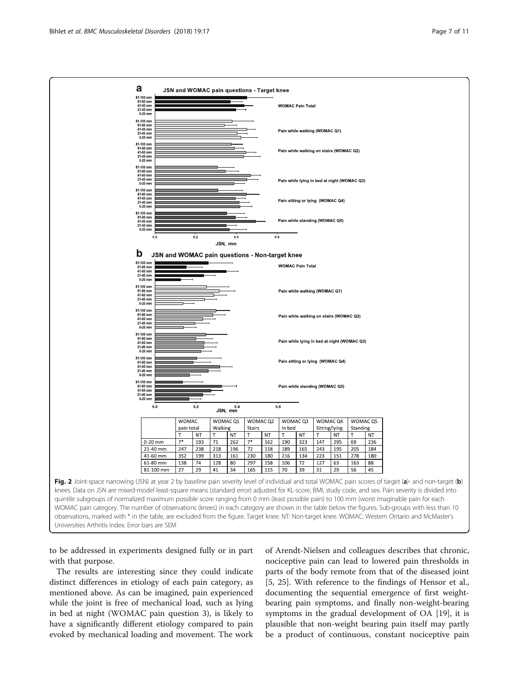<span id="page-6-0"></span>

WOMAC pain category. The number of observations (knees) in each category are shown in the table below the figures. Sub-groups with less than 10 observations, marked with \* in the table, are excluded from the figure. Target knee. NT: Non-target knee. WOMAC: Western Ontario and McMaster's Universities Arthritis Index. Error bars are SEM

to be addressed in experiments designed fully or in part with that purpose.

The results are interesting since they could indicate distinct differences in etiology of each pain category, as mentioned above. As can be imagined, pain experienced while the joint is free of mechanical load, such as lying in bed at night (WOMAC pain question 3), is likely to have a significantly different etiology compared to pain evoked by mechanical loading and movement. The work

of Arendt-Nielsen and colleagues describes that chronic, nociceptive pain can lead to lowered pain thresholds in parts of the body remote from that of the diseased joint [[5,](#page-9-0) [25\]](#page-10-0). With reference to the findings of Hensor et al., documenting the sequential emergence of first weightbearing pain symptoms, and finally non-weight-bearing symptoms in the gradual development of OA [[19](#page-10-0)], it is plausible that non-weight bearing pain itself may partly be a product of continuous, constant nociceptive pain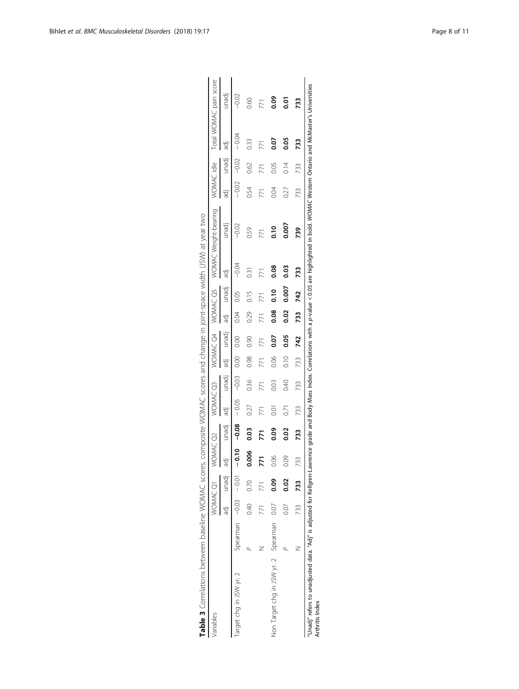<span id="page-7-0"></span>

| Table 3 Correlations between baseline WOMAC scores, composite WOMAC scores and change in joint-space width (JSW) at year two                                                                                                           |                      |          |             |          |       |                                           |       |      |                   |               |                |               |                      |            |                |         |                        |
|----------------------------------------------------------------------------------------------------------------------------------------------------------------------------------------------------------------------------------------|----------------------|----------|-------------|----------|-------|-------------------------------------------|-------|------|-------------------|---------------|----------------|---------------|----------------------|------------|----------------|---------|------------------------|
| Variables                                                                                                                                                                                                                              |                      | WOMAC Q1 |             | WOMAC 02 |       | WOMAC <sub>O3</sub>                       |       |      | WOMAC Q4 WOMAC Q5 |               |                |               | WOMAC Weight-bearing | WOMAC idle |                |         | Total WOMAC pain score |
|                                                                                                                                                                                                                                        |                      |          | adj unadj   | ਫ਼       | unadj |                                           | unadj |      | unadj             | ਫ਼            | unadi          |               | unadi                | ਫ਼         | Jnadj          |         | unadi                  |
| Target chg in JSW yr. 2                                                                                                                                                                                                                | Spearman -0.03 -0.01 |          |             |          |       | $000$ $000$ $000$ $000$ $000$ $000$ $000$ |       |      | 0.00              | 0.04 0.05     |                | $-0.04$       | $-0.02$              |            | $-0.02 - 0.02$ | $-0.04$ |                        |
|                                                                                                                                                                                                                                        |                      |          | 0.40 0.70   | 0.006    | CO.   | 027                                       | 0.36  | 0.98 | 0.90              | 0.29          | $\frac{5}{2}$  | 31<br>03      | 0.59                 | 0.54       | 0.62           | 0.33    | 0.60                   |
|                                                                                                                                                                                                                                        |                      |          |             |          | 片     |                                           | 771   |      |                   | 771           |                |               |                      | 771        | 771            |         |                        |
| Non Target chg in JSW yr. 2 Spearman 0.07                                                                                                                                                                                              |                      |          | <b>0.09</b> | 0.06     | 80    | Ξ                                         | 0.03  | 0.06 | $\frac{5}{2}$     | $\frac{8}{3}$ | $\frac{6}{10}$ | 0.08          | <u>ទី</u>            | 3.<br>О    | 0.05           | 50      | $\frac{60}{20}$        |
|                                                                                                                                                                                                                                        |                      | 0.07     | 0.02        | 0.09     | 0.02  | 571                                       | 0.40  | 0.10 | 80.0              | 0.02          | 0.007          | $\frac{3}{2}$ | 0.007                | 0.27       | 0.14           | 0.05    | ៑                      |
|                                                                                                                                                                                                                                        |                      | 733      | 733         | 733      | 733   | 733                                       | 733   | 733  | 742               | 733           | 742            | 733           | 739                  | 733        | 733            | 733     | 733                    |
| "Unadj" refers to unadjusted data. "Adj" is adjusted for Kellgren-Lawrence grade and Body Mass Index. Correlations with a p-value < 0.05 are highlighted in bold. WOMAC Western Ontario and McMaster's Universities<br>Arthritis Index |                      |          |             |          |       |                                           |       |      |                   |               |                |               |                      |            |                |         |                        |

| ֧֦֦֦֦֦֧֦֧֧֚֝֝֝֝֝֝֬֝֓֝֬֝֓֝֬֝֓֝֬֝֓֝֬֝֓֝֬֝֓֟֓֝֓֝                                                                                                       |  |
|-----------------------------------------------------------------------------------------------------------------------------------------------------|--|
|                                                                                                                                                     |  |
|                                                                                                                                                     |  |
| ֚֚֬<br>ī                                                                                                                                            |  |
| ؟<br>٥<br>֦֧ׅ֦֦֦֧֧֧֪֧֧֧֧֧֧֧֧֚֚֚֚֚֚֚֚֚֚֚֚֚֚֚֚֚֚֚֚֚֚֚֚֚֚֚֚֚֚֚֡֡֡֡֡֜֓֡֓֡֡֡֬֝֬֡֡֡֬֓֝֓֞֝֬֝֓֞֝֓֝֬֝֬֝֬֝֬֝֬֝֬֝֝֞֝֝֬֝֬<br>i<br>ļ<br>$\overline{\phantom{a}}$ |  |
|                                                                                                                                                     |  |
| $\frac{1}{2}$<br>I                                                                                                                                  |  |
| ī                                                                                                                                                   |  |
|                                                                                                                                                     |  |
|                                                                                                                                                     |  |
|                                                                                                                                                     |  |
| 1                                                                                                                                                   |  |
|                                                                                                                                                     |  |
| I<br>Ş<br>i<br>S<br>j                                                                                                                               |  |
| į<br>j                                                                                                                                              |  |
| I<br>֠                                                                                                                                              |  |
| l<br>í<br>l                                                                                                                                         |  |
| ļ<br>İ                                                                                                                                              |  |
|                                                                                                                                                     |  |
|                                                                                                                                                     |  |
| $\ddot{\phantom{a}}$<br>I                                                                                                                           |  |
| ľ                                                                                                                                                   |  |
| Tabl.                                                                                                                                               |  |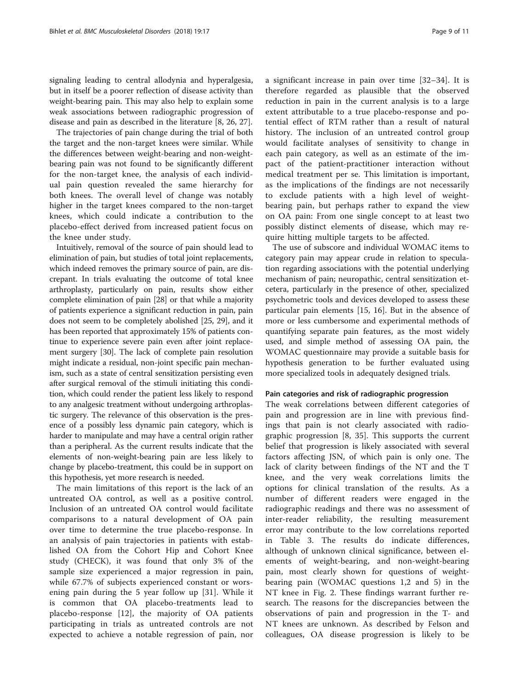signaling leading to central allodynia and hyperalgesia, but in itself be a poorer reflection of disease activity than weight-bearing pain. This may also help to explain some weak associations between radiographic progression of disease and pain as described in the literature [[8, 26, 27\]](#page-10-0).

The trajectories of pain change during the trial of both the target and the non-target knees were similar. While the differences between weight-bearing and non-weightbearing pain was not found to be significantly different for the non-target knee, the analysis of each individual pain question revealed the same hierarchy for both knees. The overall level of change was notably higher in the target knees compared to the non-target knees, which could indicate a contribution to the placebo-effect derived from increased patient focus on the knee under study.

Intuitively, removal of the source of pain should lead to elimination of pain, but studies of total joint replacements, which indeed removes the primary source of pain, are discrepant. In trials evaluating the outcome of total knee arthroplasty, particularly on pain, results show either complete elimination of pain [\[28\]](#page-10-0) or that while a majority of patients experience a significant reduction in pain, pain does not seem to be completely abolished [[25](#page-10-0), [29](#page-10-0)], and it has been reported that approximately 15% of patients continue to experience severe pain even after joint replacement surgery [\[30\]](#page-10-0). The lack of complete pain resolution might indicate a residual, non-joint specific pain mechanism, such as a state of central sensitization persisting even after surgical removal of the stimuli initiating this condition, which could render the patient less likely to respond to any analgesic treatment without undergoing arthroplastic surgery. The relevance of this observation is the presence of a possibly less dynamic pain category, which is harder to manipulate and may have a central origin rather than a peripheral. As the current results indicate that the elements of non-weight-bearing pain are less likely to change by placebo-treatment, this could be in support on this hypothesis, yet more research is needed.

The main limitations of this report is the lack of an untreated OA control, as well as a positive control. Inclusion of an untreated OA control would facilitate comparisons to a natural development of OA pain over time to determine the true placebo-response. In an analysis of pain trajectories in patients with established OA from the Cohort Hip and Cohort Knee study (CHECK), it was found that only 3% of the sample size experienced a major regression in pain, while 67.7% of subjects experienced constant or worsening pain during the 5 year follow up [\[31](#page-10-0)]. While it is common that OA placebo-treatments lead to placebo-response [[12\]](#page-10-0), the majority of OA patients participating in trials as untreated controls are not expected to achieve a notable regression of pain, nor a significant increase in pain over time [[32](#page-10-0)–[34\]](#page-10-0). It is therefore regarded as plausible that the observed reduction in pain in the current analysis is to a large extent attributable to a true placebo-response and potential effect of RTM rather than a result of natural history. The inclusion of an untreated control group would facilitate analyses of sensitivity to change in each pain category, as well as an estimate of the impact of the patient-practitioner interaction without medical treatment per se. This limitation is important, as the implications of the findings are not necessarily to exclude patients with a high level of weightbearing pain, but perhaps rather to expand the view on OA pain: From one single concept to at least two possibly distinct elements of disease, which may require hitting multiple targets to be affected.

The use of subscore and individual WOMAC items to category pain may appear crude in relation to speculation regarding associations with the potential underlying mechanism of pain; neuropathic, central sensitization etcetera, particularly in the presence of other, specialized psychometric tools and devices developed to assess these particular pain elements [[15, 16\]](#page-10-0). But in the absence of more or less cumbersome and experimental methods of quantifying separate pain features, as the most widely used, and simple method of assessing OA pain, the WOMAC questionnaire may provide a suitable basis for hypothesis generation to be further evaluated using more specialized tools in adequately designed trials.

#### Pain categories and risk of radiographic progression

The weak correlations between different categories of pain and progression are in line with previous findings that pain is not clearly associated with radiographic progression [[8, 35](#page-10-0)]. This supports the current belief that progression is likely associated with several factors affecting JSN, of which pain is only one. The lack of clarity between findings of the NT and the T knee, and the very weak correlations limits the options for clinical translation of the results. As a number of different readers were engaged in the radiographic readings and there was no assessment of inter-reader reliability, the resulting measurement error may contribute to the low correlations reported in Table [3.](#page-7-0) The results do indicate differences, although of unknown clinical significance, between elements of weight-bearing, and non-weight-bearing pain, most clearly shown for questions of weightbearing pain (WOMAC questions 1,2 and 5) in the NT knee in Fig. [2.](#page-6-0) These findings warrant further research. The reasons for the discrepancies between the observations of pain and progression in the T- and NT knees are unknown. As described by Felson and colleagues, OA disease progression is likely to be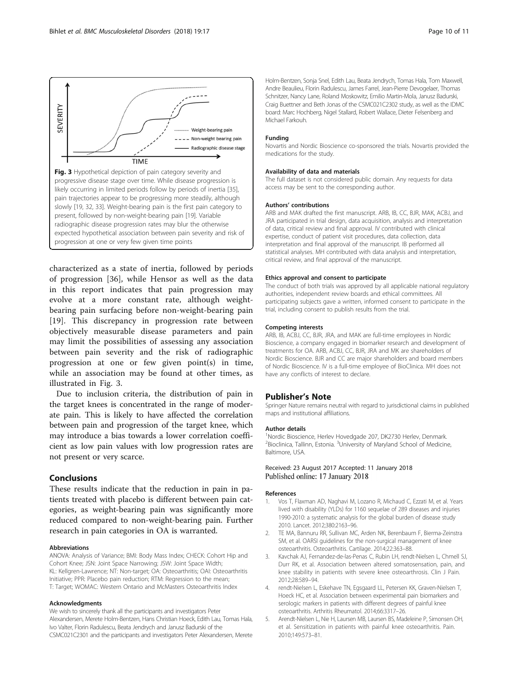<span id="page-9-0"></span>

characterized as a state of inertia, followed by periods of progression [[36\]](#page-10-0), while Hensor as well as the data in this report indicates that pain progression may evolve at a more constant rate, although weightbearing pain surfacing before non-weight-bearing pain [[19\]](#page-10-0). This discrepancy in progression rate between objectively measurable disease parameters and pain may limit the possibilities of assessing any association between pain severity and the risk of radiographic progression at one or few given point(s) in time, while an association may be found at other times, as illustrated in Fig. 3.

Due to inclusion criteria, the distribution of pain in the target knees is concentrated in the range of moderate pain. This is likely to have affected the correlation between pain and progression of the target knee, which may introduce a bias towards a lower correlation coefficient as low pain values with low progression rates are not present or very scarce.

#### Conclusions

These results indicate that the reduction in pain in patients treated with placebo is different between pain categories, as weight-bearing pain was significantly more reduced compared to non-weight-bearing pain. Further research in pain categories in OA is warranted.

#### Abbreviations

ANOVA: Analysis of Variance; BMI: Body Mass Index; CHECK: Cohort Hip and Cohort Knee; JSN: Joint Space Narrowing; JSW: Joint Space Width; KL: Kellgren-Lawrence; NT: Non-target; OA: Osteoarthritis; OAI: Osteoarthritis Initiative; PPR: Placebo pain reduction; RTM: Regression to the mean; T: Target; WOMAC: Western Ontario and McMasters Osteoarthritis Index

#### Acknowledgments

We wish to sincerely thank all the participants and investigators Peter Alexandersen, Merete Holm-Bentzen, Hans Christian Hoeck, Edith Lau, Tomas Hala, Ivo Valter, Florin Radulescu, Beata Jendrych and Janusz Badurski of the CSMC021C2301 and the participants and investigators Peter Alexandersen, Merete Holm-Bentzen, Sonja Snel, Edith Lau, Beata Jendrych, Tomas Hala, Tom Maxwell, Andre Beaulieu, Florin Radulescu, James Farrel, Jean-Pierre Devogelaer, Thomas Schnitzer, Nancy Lane, Roland Moskowitz, Emilio Martin-Mola, Janusz Badurski, Craig Buettner and Beth Jonas of the CSMC021C2302 study, as well as the IDMC board: Marc Hochberg, Nigel Stallard, Robert Wallace, Dieter Felsenberg and Michael Farkouh.

#### Funding

Novartis and Nordic Bioscience co-sponsored the trials. Novartis provided the medications for the study.

#### Availability of data and materials

The full dataset is not considered public domain. Any requests for data access may be sent to the corresponding author.

#### Authors' contributions

ARB and MAK drafted the first manuscript. ARB, IB, CC, BJR, MAK, ACBJ, and JRA participated in trial design, data acquisition, analysis and interpretation of data, critical review and final approval. IV contributed with clinical expertise, conduct of patient visit procedures, data collection, data interpretation and final approval of the manuscript. IB performed all statistical analyses. MH contributed with data analysis and interpretation, critical review, and final approval of the manuscript.

#### Ethics approval and consent to participate

The conduct of both trials was approved by all applicable national regulatory authorities, independent review boards and ethical committees. All participating subjects gave a written, informed consent to participate in the trial, including consent to publish results from the trial.

#### Competing interests

ARB, IB, ACBJ, CC, BJR, JRA, and MAK are full-time employees in Nordic Bioscience, a company engaged in biomarker research and development of treatments for OA. ARB, ACBJ, CC, BJR, JRA and MK are shareholders of Nordic Bioscience. BJR and CC are major shareholders and board members of Nordic Bioscience. IV is a full-time employee of BioClinica. MH does not have any conflicts of interest to declare.

#### Publisher's Note

Springer Nature remains neutral with regard to jurisdictional claims in published maps and institutional affiliations.

#### Author details

1 Nordic Bioscience, Herlev Hovedgade 207, DK2730 Herlev, Denmark. <sup>2</sup> Bioclinica, Tallinn, Estonia. <sup>3</sup> University of Maryland School of Medicine, Baltimore, USA.

#### Received: 23 August 2017 Accepted: 11 January 2018 Published online: 17 January 2018

#### References

- 1. Vos T, Flaxman AD, Naghavi M, Lozano R, Michaud C, Ezzati M, et al. Years lived with disability (YLDs) for 1160 sequelae of 289 diseases and injuries 1990-2010: a systematic analysis for the global burden of disease study 2010. Lancet. 2012;380:2163–96.
- 2. TE MA, Bannuru RR, Sullivan MC, Arden NK, Berenbaum F, Bierma-Zeinstra SM, et al. OARSI guidelines for the non-surgical management of knee osteoarthritis. Osteoarthritis. Cartilage. 2014;22:363–88.
- 3. Kavchak AJ, Fernandez-de-las-Penas C, Rubin LH, rendt-Nielsen L, Chmell SJ, Durr RK, et al. Association between altered somatosensation, pain, and knee stability in patients with severe knee osteoarthrosis. Clin J Pain. 2012;28:589–94.
- 4. rendt-Nielsen L, Eskehave TN, Egsgaard LL, Petersen KK, Graven-Nielsen T, Hoeck HC, et al. Association between experimental pain biomarkers and serologic markers in patients with different degrees of painful knee osteoarthritis. Arthritis Rheumatol. 2014;66:3317–26.
- 5. Arendt-Nielsen L, Nie H, Laursen MB, Laursen BS, Madeleine P, Simonsen OH, et al. Sensitization in patients with painful knee osteoarthritis. Pain. 2010;149:573–81.